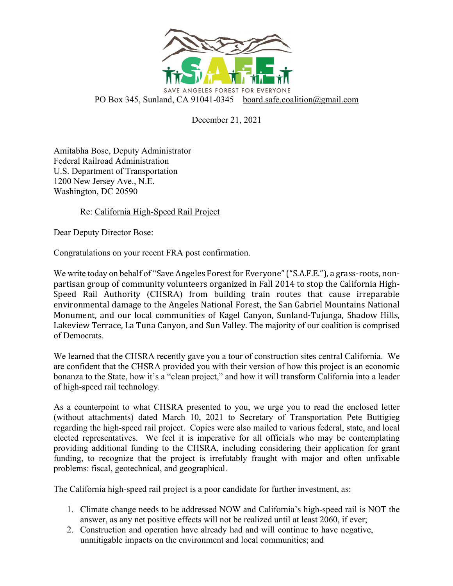

December 21, 2021

Amitabha Bose, Deputy Administrator Federal Railroad Administration U.S. Department of Transportation 1200 New Jersey Ave., N.E. Washington, DC 20590

Re: California High-Speed Rail Project

Dear Deputy Director Bose:

Congratulations on your recent FRA post confirmation.

We write today on behalf of "Save Angeles Forest for Everyone" ("S.A.F.E."), a grass-roots, nonpartisan group of community volunteers organized in Fall 2014 to stop the California High-Speed Rail Authority (CHSRA) from building train routes that cause irreparable environmental damage to the Angeles National Forest, the San Gabriel Mountains National Monument, and our local communities of Kagel Canyon, Sunland-Tujunga, Shadow Hills, Lakeview Terrace, La Tuna Canyon, and Sun Valley. The majority of our coalition is comprised of Democrats.

We learned that the CHSRA recently gave you a tour of construction sites central California. We are confident that the CHSRA provided you with their version of how this project is an economic bonanza to the State, how it's a "clean project," and how it will transform California into a leader of high-speed rail technology.

As a counterpoint to what CHSRA presented to you, we urge you to read the enclosed letter (without attachments) dated March 10, 2021 to Secretary of Transportation Pete Buttigieg regarding the high-speed rail project. Copies were also mailed to various federal, state, and local elected representatives. We feel it is imperative for all officials who may be contemplating providing additional funding to the CHSRA, including considering their application for grant funding, to recognize that the project is irrefutably fraught with major and often unfixable problems: fiscal, geotechnical, and geographical.

The California high-speed rail project is a poor candidate for further investment, as:

- 1. Climate change needs to be addressed NOW and California's high-speed rail is NOT the answer, as any net positive effects will not be realized until at least 2060, if ever;
- 2. Construction and operation have already had and will continue to have negative, unmitigable impacts on the environment and local communities; and